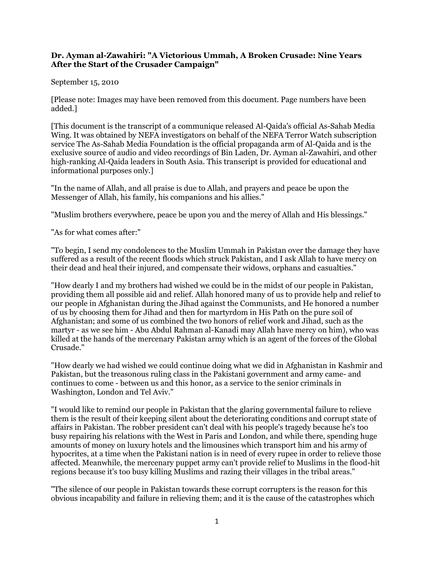## **Dr. Ayman al-Zawahiri: "A Victorious Ummah, A Broken Crusade: Nine Years After the Start of the Crusader Campaign"**

## September 15, 2010

[Please note: Images may have been removed from this document. Page numbers have been added.]

[This document is the transcript of a communique released Al-Qaida's official As-Sahab Media Wing. It was obtained by NEFA investigators on behalf of the NEFA Terror Watch subscription service The As-Sahab Media Foundation is the official propaganda arm of Al-Qaida and is the exclusive source of audio and video recordings of Bin Laden, Dr. Ayman al-Zawahiri, and other high-ranking Al-Qaida leaders in South Asia. This transcript is provided for educational and informational purposes only.]

"In the name of Allah, and all praise is due to Allah, and prayers and peace be upon the Messenger of Allah, his family, his companions and his allies."

"Muslim brothers everywhere, peace be upon you and the mercy of Allah and His blessings."

"As for what comes after:"

"To begin, I send my condolences to the Muslim Ummah in Pakistan over the damage they have suffered as a result of the recent floods which struck Pakistan, and I ask Allah to have mercy on their dead and heal their injured, and compensate their widows, orphans and casualties."

"How dearly I and my brothers had wished we could be in the midst of our people in Pakistan, providing them all possible aid and relief. Allah honored many of us to provide help and relief to our people in Afghanistan during the Jihad against the Communists, and He honored a number of us by choosing them for Jihad and then for martyrdom in His Path on the pure soil of Afghanistan; and some of us combined the two honors of relief work and Jihad, such as the martyr - as we see him - Abu Abdul Rahman al-Kanadi may Allah have mercy on him), who was killed at the hands of the mercenary Pakistan army which is an agent of the forces of the Global Crusade."

"How dearly we had wished we could continue doing what we did in Afghanistan in Kashmir and Pakistan, but the treasonous ruling class in the Pakistani government and army came- and continues to come - between us and this honor, as a service to the senior criminals in Washington, London and Tel Aviv."

"I would like to remind our people in Pakistan that the glaring governmental failure to relieve them is the result of their keeping silent about the deteriorating conditions and corrupt state of affairs in Pakistan. The robber president can't deal with his people's tragedy because he's too busy repairing his relations with the West in Paris and London, and while there, spending huge amounts of money on luxury hotels and the limousines which transport him and his army of hypocrites, at a time when the Pakistani nation is in need of every rupee in order to relieve those affected. Meanwhile, the mercenary puppet army can't provide relief to Muslims in the flood-hit regions because it's too busy killing Muslims and razing their villages in the tribal areas."

"The silence of our people in Pakistan towards these corrupt corrupters is the reason for this obvious incapability and failure in relieving them; and it is the cause of the catastrophes which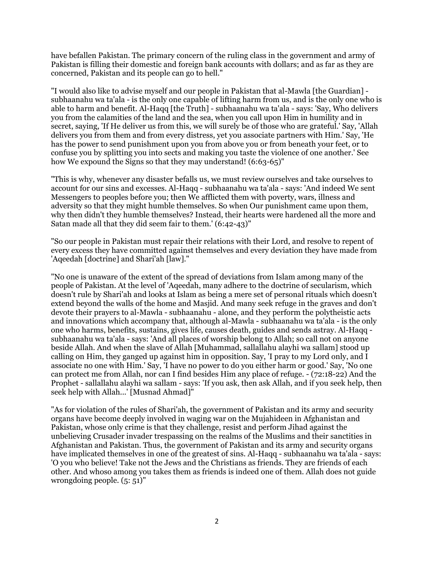have befallen Pakistan. The primary concern of the ruling class in the government and army of Pakistan is filling their domestic and foreign bank accounts with dollars; and as far as they are concerned, Pakistan and its people can go to hell."

"I would also like to advise myself and our people in Pakistan that al-Mawla [the Guardian] subhaanahu wa ta'ala - is the only one capable of lifting harm from us, and is the only one who is able to harm and benefit. Al-Haqq [the Truth] - subhaanahu wa ta'ala - says: 'Say, Who delivers you from the calamities of the land and the sea, when you call upon Him in humility and in secret, saying, 'If He deliver us from this, we will surely be of those who are grateful.' Say, 'Allah delivers you from them and from every distress, yet you associate partners with Him.' Say, 'He has the power to send punishment upon you from above you or from beneath your feet, or to confuse you by splitting you into sects and making you taste the violence of one another.' See how We expound the Signs so that they may understand!  $(6:63-65)$ "

"This is why, whenever any disaster befalls us, we must review ourselves and take ourselves to account for our sins and excesses. Al-Haqq - subhaanahu wa ta'ala - says: 'And indeed We sent Messengers to peoples before you; then We afflicted them with poverty, wars, illness and adversity so that they might humble themselves. So when Our punishment came upon them, why then didn't they humble themselves? Instead, their hearts were hardened all the more and Satan made all that they did seem fair to them.' (6:42-43)"

"So our people in Pakistan must repair their relations with their Lord, and resolve to repent of every excess they have committed against themselves and every deviation they have made from 'Aqeedah [doctrine] and Shari'ah [law]."

"No one is unaware of the extent of the spread of deviations from Islam among many of the people of Pakistan. At the level of 'Aqeedah, many adhere to the doctrine of secularism, which doesn't rule by Shari'ah and looks at Islam as being a mere set of personal rituals which doesn't extend beyond the walls of the home and Masjid. And many seek refuge in the graves and don't devote their prayers to al-Mawla - subhaanahu - alone, and they perform the polytheistic acts and innovations which accompany that, although al-Mawla - subhaanahu wa ta'ala - is the only one who harms, benefits, sustains, gives life, causes death, guides and sends astray. Al-Haqq subhaanahu wa ta'ala - says: 'And all places of worship belong to Allah; so call not on anyone beside Allah. And when the slave of Allah [Muhammad, sallallahu alayhi wa sallam] stood up calling on Him, they ganged up against him in opposition. Say, 'I pray to my Lord only, and I associate no one with Him.' Say, 'I have no power to do you either harm or good.' Say, 'No one can protect me from Allah, nor can I find besides Him any place of refuge. - (72:18-22) And the Prophet - sallallahu alayhi wa sallam - says: 'If you ask, then ask Allah, and if you seek help, then seek help with Allah...' [Musnad Ahmad]"

"As for violation of the rules of Shari'ah, the government of Pakistan and its army and security organs have become deeply involved in waging war on the Mujahideen in Afghanistan and Pakistan, whose only crime is that they challenge, resist and perform Jihad against the unbelieving Crusader invader trespassing on the realms of the Muslims and their sanctities in Afghanistan and Pakistan. Thus, the government of Pakistan and its army and security organs have implicated themselves in one of the greatest of sins. Al-Haqq - subhaanahu wa ta'ala - says: 'O you who believe! Take not the Jews and the Christians as friends. They are friends of each other. And whoso among you takes them as friends is indeed one of them. Allah does not guide wrongdoing people. (5: 51)"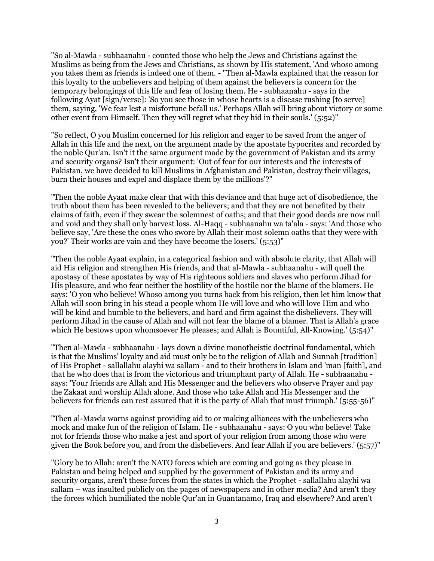"So al-Mawla - subhaanahu - counted those who help the Jews and Christians against the Muslims as being from the Jews and Christians, as shown by His statement, 'And whoso among you takes them as friends is indeed one of them. - "Then al-Mawla explained that the reason for this loyalty to the unbelievers and helping of them against the believers is concern for the temporary belongings of this life and fear of losing them. He - subhaanahu - says in the following Ayat [sign/verse]: 'So you see those in whose hearts is a disease rushing [to serve] them, saying, 'We fear lest a misfortune befall us.' Perhaps Allah will bring about victory or some other event from Himself. Then they will regret what they hid in their souls.' (5:52)"

"So reflect, O you Muslim concerned for his religion and eager to be saved from the anger of Allah in this life and the next, on the argument made by the apostate hypocrites and recorded by the noble Qur'an. Isn't it the same argument made by the government of Pakistan and its army and security organs? Isn't their argument: 'Out of fear for our interests and the interests of Pakistan, we have decided to kill Muslims in Afghanistan and Pakistan, destroy their villages, burn their houses and expel and displace them by the millions'?"

"Then the noble Ayaat make clear that with this deviance and that huge act of disobedience, the truth about them has been revealed to the believers; and that they are not benefited by their claims of faith, even if they swear the solemnest of oaths; and that their good deeds are now null and void and they shall only harvest loss. Al-Haqq - subhaanahu wa ta'ala - says: 'And those who believe say, 'Are these the ones who swore by Allah their most solemn oaths that they were with you?' Their works are vain and they have become the losers.' (5:53)"

"Then the noble Ayaat explain, in a categorical fashion and with absolute clarity, that Allah will aid His religion and strengthen His friends, and that al-Mawla - subhaanahu - will quell the apostasy of these apostates by way of His righteous soldiers and slaves who perform Jihad for His pleasure, and who fear neither the hostility of the hostile nor the blame of the blamers. He says: 'O you who believe! Whoso among you turns back from his religion, then let him know that Allah will soon bring in his stead a people whom He will love and who will love Him and who will be kind and humble to the believers, and hard and firm against the disbelievers. They will perform Jihad in the cause of Allah and will not fear the blame of a blamer. That is Allah's grace which He bestows upon whomsoever He pleases; and Allah is Bountiful, All-Knowing.' (5:54)"

"Then al-Mawla - subhaanahu - lays down a divine monotheistic doctrinal fundamental, which is that the Muslims' loyalty and aid must only be to the religion of Allah and Sunnah [tradition] of His Prophet - sallallahu alayhi wa sallam - and to their brothers in Islam and 'man [faith], and that he who does that is from the victorious and triumphant party of Allah. He - subhaanahu says: 'Your friends are Allah and His Messenger and the believers who observe Prayer and pay the Zakaat and worship Allah alone. And those who take Allah and His Messenger and the believers for friends can rest assured that it is the party of Allah that must triumph.' (5:55-56)"

"Then al-Mawla warns against providing aid to or making alliances with the unbelievers who mock and make fun of the religion of Islam. He - subhaanahu - says: O you who believe! Take not for friends those who make a jest and sport of your religion from among those who were given the Book before you, and from the disbelievers. And fear Allah if you are believers.' (5:57)"

"Glory be to Allah: aren't the NATO forces which are coming and going as they please in Pakistan and being helped and supplied by the government of Pakistan and its army and security organs, aren't these forces from the states in which the Prophet - sallallahu alayhi wa sallam – was insulted publicly on the pages of newspapers and in other media? And aren't they the forces which humiliated the noble Qur'an in Guantanamo, Iraq and elsewhere? And aren't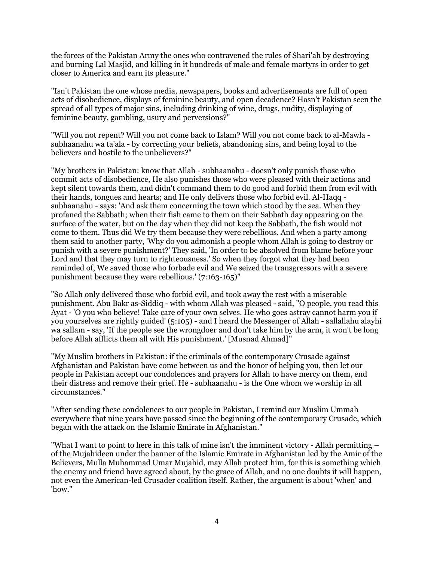the forces of the Pakistan Army the ones who contravened the rules of Shari'ah by destroying and burning Lal Masjid, and killing in it hundreds of male and female martyrs in order to get closer to America and earn its pleasure."

"Isn't Pakistan the one whose media, newspapers, books and advertisements are full of open acts of disobedience, displays of feminine beauty, and open decadence? Hasn't Pakistan seen the spread of all types of major sins, including drinking of wine, drugs, nudity, displaying of feminine beauty, gambling, usury and perversions?"

"Will you not repent? Will you not come back to Islam? Will you not come back to al-Mawla subhaanahu wa ta'ala - by correcting your beliefs, abandoning sins, and being loyal to the believers and hostile to the unbelievers?"

"My brothers in Pakistan: know that Allah - subhaanahu - doesn't only punish those who commit acts of disobedience, He also punishes those who were pleased with their actions and kept silent towards them, and didn't command them to do good and forbid them from evil with their hands, tongues and hearts; and He only delivers those who forbid evil. Al-Haqq subhaanahu - says: 'And ask them concerning the town which stood by the sea. When they profaned the Sabbath; when their fish came to them on their Sabbath day appearing on the surface of the water, but on the day when they did not keep the Sabbath, the fish would not come to them. Thus did We try them because they were rebellious. And when a party among them said to another party, 'Why do you admonish a people whom Allah is going to destroy or punish with a severe punishment?' They said, 'In order to be absolved from blame before your Lord and that they may turn to righteousness.' So when they forgot what they had been reminded of, We saved those who forbade evil and We seized the transgressors with a severe punishment because they were rebellious.' (7:163-165)"

"So Allah only delivered those who forbid evil, and took away the rest with a miserable punishment. Abu Bakr as-Siddiq - with whom Allah was pleased - said, "O people, you read this Ayat - 'O you who believe! Take care of your own selves. He who goes astray cannot harm you if you yourselves are rightly guided' (5:105) - and I heard the Messenger of Allah - sallallahu alayhi wa sallam - say, 'If the people see the wrongdoer and don't take him by the arm, it won't be long before Allah afflicts them all with His punishment.' [Musnad Ahmad]"

"My Muslim brothers in Pakistan: if the criminals of the contemporary Crusade against Afghanistan and Pakistan have come between us and the honor of helping you, then let our people in Pakistan accept our condolences and prayers for Allah to have mercy on them, end their distress and remove their grief. He - subhaanahu - is the One whom we worship in all circumstances."

"After sending these condolences to our people in Pakistan, I remind our Muslim Ummah everywhere that nine years have passed since the beginning of the contemporary Crusade, which began with the attack on the Islamic Emirate in Afghanistan."

"What I want to point to here in this talk of mine isn't the imminent victory - Allah permitting – of the Mujahideen under the banner of the Islamic Emirate in Afghanistan led by the Amir of the Believers, Mulla Muhammad Umar Mujahid, may Allah protect him, for this is something which the enemy and friend have agreed about, by the grace of Allah, and no one doubts it will happen, not even the American-led Crusader coalition itself. Rather, the argument is about 'when' and 'how."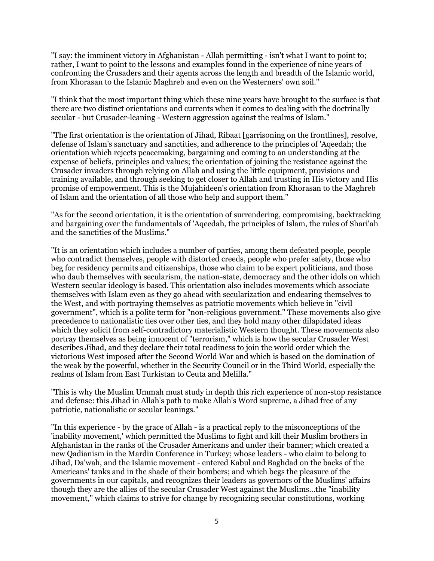"I say: the imminent victory in Afghanistan - Allah permitting - isn't what I want to point to; rather, I want to point to the lessons and examples found in the experience of nine years of confronting the Crusaders and their agents across the length and breadth of the Islamic world, from Khorasan to the Islamic Maghreb and even on the Westerners' own soil."

"I think that the most important thing which these nine years have brought to the surface is that there are two distinct orientations and currents when it comes to dealing with the doctrinally secular - but Crusader-leaning - Western aggression against the realms of Islam."

"The first orientation is the orientation of Jihad, Ribaat [garrisoning on the frontlines], resolve, defense of Islam's sanctuary and sanctities, and adherence to the principles of 'Aqeedah; the orientation which rejects peacemaking, bargaining and coming to an understanding at the expense of beliefs, principles and values; the orientation of joining the resistance against the Crusader invaders through relying on Allah and using the little equipment, provisions and training available, and through seeking to get closer to Allah and trusting in His victory and His promise of empowerment. This is the Mujahideen's orientation from Khorasan to the Maghreb of Islam and the orientation of all those who help and support them."

"As for the second orientation, it is the orientation of surrendering, compromising, backtracking and bargaining over the fundamentals of 'Aqeedah, the principles of Islam, the rules of Shari'ah and the sanctities of the Muslims."

"It is an orientation which includes a number of parties, among them defeated people, people who contradict themselves, people with distorted creeds, people who prefer safety, those who beg for residency permits and citizenships, those who claim to be expert politicians, and those who daub themselves with secularism, the nation-state, democracy and the other idols on which Western secular ideology is based. This orientation also includes movements which associate themselves with Islam even as they go ahead with secularization and endearing themselves to the West, and with portraying themselves as patriotic movements which believe in "civil government", which is a polite term for "non-religious government." These movements also give precedence to nationalistic ties over other ties, and they hold many other dilapidated ideas which they solicit from self-contradictory materialistic Western thought. These movements also portray themselves as being innocent of "terrorism," which is how the secular Crusader West describes Jihad, and they declare their total readiness to join the world order which the victorious West imposed after the Second World War and which is based on the domination of the weak by the powerful, whether in the Security Council or in the Third World, especially the realms of Islam from East Turkistan to Ceuta and Melilla."

"This is why the Muslim Ummah must study in depth this rich experience of non-stop resistance and defense: this Jihad in Allah's path to make Allah's Word supreme, a Jihad free of any patriotic, nationalistic or secular leanings."

"In this experience - by the grace of Allah - is a practical reply to the misconceptions of the 'inability movement,' which permitted the Muslims to fight and kill their Muslim brothers in Afghanistan in the ranks of the Crusader Americans and under their banner; which created a new Qadianism in the Mardin Conference in Turkey; whose leaders - who claim to belong to Jihad, Da'wah, and the Islamic movement - entered Kabul and Baghdad on the backs of the Americans' tanks and in the shade of their bombers; and which begs the pleasure of the governments in our capitals, and recognizes their leaders as governors of the Muslims' affairs though they are the allies of the secular Crusader West against the Muslims...the "inability movement," which claims to strive for change by recognizing secular constitutions, working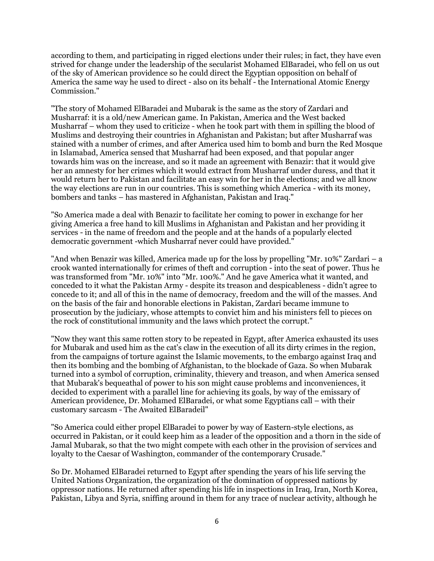according to them, and participating in rigged elections under their rules; in fact, they have even strived for change under the leadership of the secularist Mohamed ElBaradei, who fell on us out of the sky of American providence so he could direct the Egyptian opposition on behalf of America the same way he used to direct - also on its behalf - the International Atomic Energy Commission."

"The story of Mohamed ElBaradei and Mubarak is the same as the story of Zardari and Musharraf: it is a old/new American game. In Pakistan, America and the West backed Musharraf – whom they used to criticize - when he took part with them in spilling the blood of Muslims and destroying their countries in Afghanistan and Pakistan; but after Musharraf was stained with a number of crimes, and after America used him to bomb and burn the Red Mosque in Islamabad, America sensed that Musharraf had been exposed, and that popular anger towards him was on the increase, and so it made an agreement with Benazir: that it would give her an amnesty for her crimes which it would extract from Musharraf under duress, and that it would return her to Pakistan and facilitate an easy win for her in the elections; and we all know the way elections are run in our countries. This is something which America - with its money, bombers and tanks – has mastered in Afghanistan, Pakistan and Iraq."

"So America made a deal with Benazir to facilitate her coming to power in exchange for her giving America a free hand to kill Muslims in Afghanistan and Pakistan and her providing it services - in the name of freedom and the people and at the hands of a popularly elected democratic government -which Musharraf never could have provided."

"And when Benazir was killed, America made up for the loss by propelling "Mr. 10%" Zardari – a crook wanted internationally for crimes of theft and corruption - into the seat of power. Thus he was transformed from "Mr. 10%" into "Mr. 100%." And he gave America what it wanted, and conceded to it what the Pakistan Army - despite its treason and despicableness - didn't agree to concede to it; and all of this in the name of democracy, freedom and the will of the masses. And on the basis of the fair and honorable elections in Pakistan, Zardari became immune to prosecution by the judiciary, whose attempts to convict him and his ministers fell to pieces on the rock of constitutional immunity and the laws which protect the corrupt."

"Now they want this same rotten story to be repeated in Egypt, after America exhausted its uses for Mubarak and used him as the cat's claw in the execution of all its dirty crimes in the region, from the campaigns of torture against the Islamic movements, to the embargo against Iraq and then its bombing and the bombing of Afghanistan, to the blockade of Gaza. So when Mubarak turned into a symbol of corruption, criminality, thievery and treason, and when America sensed that Mubarak's bequeathal of power to his son might cause problems and inconveniences, it decided to experiment with a parallel line for achieving its goals, by way of the emissary of American providence, Dr. Mohamed ElBaradei, or what some Egyptians call – with their customary sarcasm - The Awaited ElBaradeil"

"So America could either propel ElBaradei to power by way of Eastern-style elections, as occurred in Pakistan, or it could keep him as a leader of the opposition and a thorn in the side of Jamal Mubarak, so that the two might compete with each other in the provision of services and loyalty to the Caesar of Washington, commander of the contemporary Crusade."

So Dr. Mohamed ElBaradei returned to Egypt after spending the years of his life serving the United Nations Organization, the organization of the domination of oppressed nations by oppressor nations. He returned after spending his life in inspections in Iraq, Iran, North Korea, Pakistan, Libya and Syria, sniffing around in them for any trace of nuclear activity, although he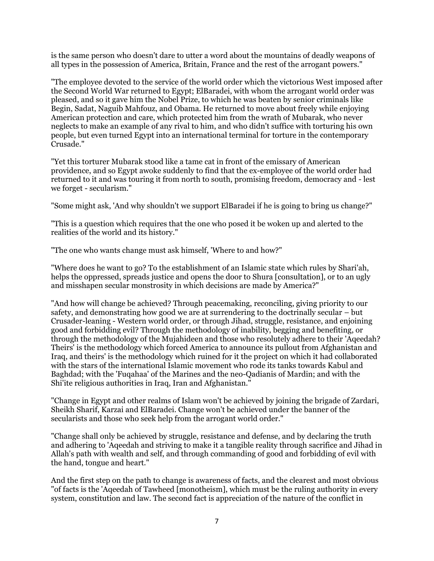is the same person who doesn't dare to utter a word about the mountains of deadly weapons of all types in the possession of America, Britain, France and the rest of the arrogant powers."

"The employee devoted to the service of the world order which the victorious West imposed after the Second World War returned to Egypt; ElBaradei, with whom the arrogant world order was pleased, and so it gave him the Nobel Prize, to which he was beaten by senior criminals like Begin, Sadat, Naguib Mahfouz, and Obama. He returned to move about freely while enjoying American protection and care, which protected him from the wrath of Mubarak, who never neglects to make an example of any rival to him, and who didn't suffice with torturing his own people, but even turned Egypt into an international terminal for torture in the contemporary Crusade."

"Yet this torturer Mubarak stood like a tame cat in front of the emissary of American providence, and so Egypt awoke suddenly to find that the ex-employee of the world order had returned to it and was touring it from north to south, promising freedom, democracy and - lest we forget - secularism."

"Some might ask, 'And why shouldn't we support ElBaradei if he is going to bring us change?"

"This is a question which requires that the one who posed it be woken up and alerted to the realities of the world and its history."

"The one who wants change must ask himself, 'Where to and how?"

"Where does he want to go? To the establishment of an Islamic state which rules by Shari'ah, helps the oppressed, spreads justice and opens the door to Shura [consultation], or to an ugly and misshapen secular monstrosity in which decisions are made by America?"

"And how will change be achieved? Through peacemaking, reconciling, giving priority to our safety, and demonstrating how good we are at surrendering to the doctrinally secular – but Crusader-leaning - Western world order, or through Jihad, struggle, resistance, and enjoining good and forbidding evil? Through the methodology of inability, begging and benefiting, or through the methodology of the Mujahideen and those who resolutely adhere to their 'Aqeedah? Theirs' is the methodology which forced America to announce its pullout from Afghanistan and Iraq, and theirs' is the methodology which ruined for it the project on which it had collaborated with the stars of the international Islamic movement who rode its tanks towards Kabul and Baghdad; with the 'Fuqahaa' of the Marines and the neo-Qadianis of Mardin; and with the Shi'ite religious authorities in Iraq, Iran and Afghanistan."

"Change in Egypt and other realms of Islam won't be achieved by joining the brigade of Zardari, Sheikh Sharif, Karzai and ElBaradei. Change won't be achieved under the banner of the secularists and those who seek help from the arrogant world order."

"Change shall only be achieved by struggle, resistance and defense, and by declaring the truth and adhering to 'Aqeedah and striving to make it a tangible reality through sacrifice and Jihad in Allah's path with wealth and self, and through commanding of good and forbidding of evil with the hand, tongue and heart."

And the first step on the path to change is awareness of facts, and the clearest and most obvious "of facts is the 'Aqeedah of Tawheed [monotheism], which must be the ruling authority in every system, constitution and law. The second fact is appreciation of the nature of the conflict in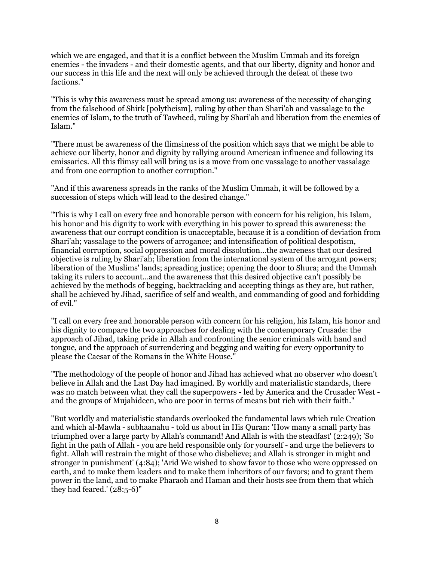which we are engaged, and that it is a conflict between the Muslim Ummah and its foreign enemies - the invaders - and their domestic agents, and that our liberty, dignity and honor and our success in this life and the next will only be achieved through the defeat of these two factions."

"This is why this awareness must be spread among us: awareness of the necessity of changing from the falsehood of Shirk [polytheism], ruling by other than Shari'ah and vassalage to the enemies of Islam, to the truth of Tawheed, ruling by Shari'ah and liberation from the enemies of Islam."

"There must be awareness of the flimsiness of the position which says that we might be able to achieve our liberty, honor and dignity by rallying around American influence and following its emissaries. All this flimsy call will bring us is a move from one vassalage to another vassalage and from one corruption to another corruption."

"And if this awareness spreads in the ranks of the Muslim Ummah, it will be followed by a succession of steps which will lead to the desired change."

"This is why I call on every free and honorable person with concern for his religion, his Islam, his honor and his dignity to work with everything in his power to spread this awareness: the awareness that our corrupt condition is unacceptable, because it is a condition of deviation from Shari'ah; vassalage to the powers of arrogance; and intensification of political despotism, financial corruption, social oppression and moral dissolution...the awareness that our desired objective is ruling by Shari'ah; liberation from the international system of the arrogant powers; liberation of the Muslims' lands; spreading justice; opening the door to Shura; and the Ummah taking its rulers to account...and the awareness that this desired objective can't possibly be achieved by the methods of begging, backtracking and accepting things as they are, but rather, shall be achieved by Jihad, sacrifice of self and wealth, and commanding of good and forbidding of evil."

"I call on every free and honorable person with concern for his religion, his Islam, his honor and his dignity to compare the two approaches for dealing with the contemporary Crusade: the approach of Jihad, taking pride in Allah and confronting the senior criminals with hand and tongue, and the approach of surrendering and begging and waiting for every opportunity to please the Caesar of the Romans in the White House."

"The methodology of the people of honor and Jihad has achieved what no observer who doesn't believe in Allah and the Last Day had imagined. By worldly and materialistic standards, there was no match between what they call the superpowers - led by America and the Crusader West and the groups of Mujahideen, who are poor in terms of means but rich with their faith."

"But worldly and materialistic standards overlooked the fundamental laws which rule Creation and which al-Mawla - subhaanahu - told us about in His Quran: 'How many a small party has triumphed over a large party by Allah's command! And Allah is with the steadfast' (2:249); 'So fight in the path of Allah - you are held responsible only for yourself - and urge the believers to fight. Allah will restrain the might of those who disbelieve; and Allah is stronger in might and stronger in punishment' (4:84); 'Arid We wished to show favor to those who were oppressed on earth, and to make them leaders and to make them inheritors of our favors; and to grant them power in the land, and to make Pharaoh and Haman and their hosts see from them that which they had feared.' (28:5-6)"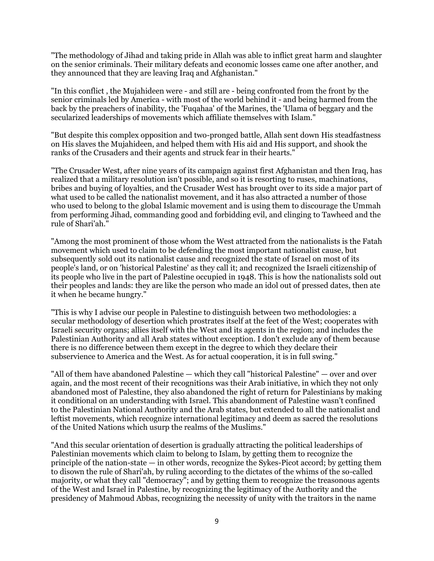"The methodology of Jihad and taking pride in Allah was able to inflict great harm and slaughter on the senior criminals. Their military defeats and economic losses came one after another, and they announced that they are leaving Iraq and Afghanistan."

"In this conflict , the Mujahideen were - and still are - being confronted from the front by the senior criminals led by America - with most of the world behind it - and being harmed from the back by the preachers of inability, the 'Fuqahaa' of the Marines, the 'Ulama of beggary and the secularized leaderships of movements which affiliate themselves with Islam."

"But despite this complex opposition and two-pronged battle, Allah sent down His steadfastness on His slaves the Mujahideen, and helped them with His aid and His support, and shook the ranks of the Crusaders and their agents and struck fear in their hearts."

"The Crusader West, after nine years of its campaign against first Afghanistan and then Iraq, has realized that a military resolution isn't possible, and so it is resorting to ruses, machinations, bribes and buying of loyalties, and the Crusader West has brought over to its side a major part of what used to be called the nationalist movement, and it has also attracted a number of those who used to belong to the global Islamic movement and is using them to discourage the Ummah from performing Jihad, commanding good and forbidding evil, and clinging to Tawheed and the rule of Shari'ah."

"Among the most prominent of those whom the West attracted from the nationalists is the Fatah movement which used to claim to be defending the most important nationalist cause, but subsequently sold out its nationalist cause and recognized the state of Israel on most of its people's land, or on 'historical Palestine' as they call it; and recognized the Israeli citizenship of its people who live in the part of Palestine occupied in 1948. This is how the nationalists sold out their peoples and lands: they are like the person who made an idol out of pressed dates, then ate it when he became hungry."

"This is why I advise our people in Palestine to distinguish between two methodologies: a secular methodology of desertion which prostrates itself at the feet of the West; cooperates with Israeli security organs; allies itself with the West and its agents in the region; and includes the Palestinian Authority and all Arab states without exception. I don't exclude any of them because there is no difference between them except in the degree to which they declare their subservience to America and the West. As for actual cooperation, it is in full swing."

"All of them have abandoned Palestine — which they call "historical Palestine" — over and over again, and the most recent of their recognitions was their Arab initiative, in which they not only abandoned most of Palestine, they also abandoned the right of return for Palestinians by making it conditional on an understanding with Israel. This abandonment of Palestine wasn't confined to the Palestinian National Authority and the Arab states, but extended to all the nationalist and leftist movements, which recognize international legitimacy and deem as sacred the resolutions of the United Nations which usurp the realms of the Muslims."

"And this secular orientation of desertion is gradually attracting the political leaderships of Palestinian movements which claim to belong to Islam, by getting them to recognize the principle of the nation-state  $-$  in other words, recognize the Sykes-Picot accord; by getting them to disown the rule of Shari'ah, by ruling according to the dictates of the whims of the so-called majority, or what they call "democracy"; and by getting them to recognize the treasonous agents of the West and Israel in Palestine, by recognizing the legitimacy of the Authority and the presidency of Mahmoud Abbas, recognizing the necessity of unity with the traitors in the name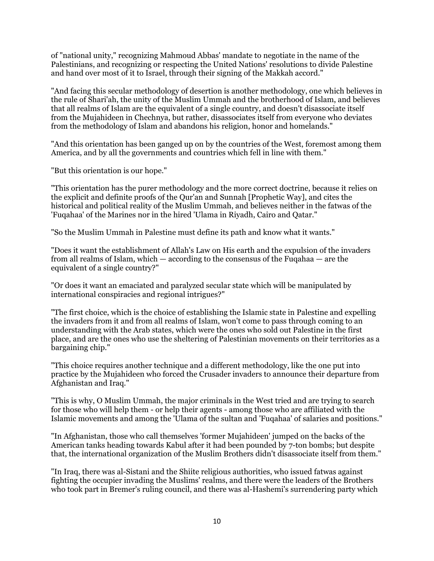of "national unity," recognizing Mahmoud Abbas' mandate to negotiate in the name of the Palestinians, and recognizing or respecting the United Nations' resolutions to divide Palestine and hand over most of it to Israel, through their signing of the Makkah accord."

"And facing this secular methodology of desertion is another methodology, one which believes in the rule of Shari'ah, the unity of the Muslim Ummah and the brotherhood of Islam, and believes that all realms of Islam are the equivalent of a single country, and doesn't disassociate itself from the Mujahideen in Chechnya, but rather, disassociates itself from everyone who deviates from the methodology of Islam and abandons his religion, honor and homelands."

"And this orientation has been ganged up on by the countries of the West, foremost among them America, and by all the governments and countries which fell in line with them."

"But this orientation is our hope."

"This orientation has the purer methodology and the more correct doctrine, because it relies on the explicit and definite proofs of the Qur'an and Sunnah [Prophetic Way], and cites the historical and political reality of the Muslim Ummah, and believes neither in the fatwas of the 'Fuqahaa' of the Marines nor in the hired 'Ulama in Riyadh, Cairo and Qatar."

"So the Muslim Ummah in Palestine must define its path and know what it wants."

"Does it want the establishment of Allah's Law on His earth and the expulsion of the invaders from all realms of Islam, which — according to the consensus of the Fuqahaa — are the equivalent of a single country?"

"Or does it want an emaciated and paralyzed secular state which will be manipulated by international conspiracies and regional intrigues?"

"The first choice, which is the choice of establishing the Islamic state in Palestine and expelling the invaders from it and from all realms of Islam, won't come to pass through coming to an understanding with the Arab states, which were the ones who sold out Palestine in the first place, and are the ones who use the sheltering of Palestinian movements on their territories as a bargaining chip."

"This choice requires another technique and a different methodology, like the one put into practice by the Mujahideen who forced the Crusader invaders to announce their departure from Afghanistan and Iraq."

"This is why, O Muslim Ummah, the major criminals in the West tried and are trying to search for those who will help them - or help their agents - among those who are affiliated with the Islamic movements and among the 'Ulama of the sultan and 'Fuqahaa' of salaries and positions."

"In Afghanistan, those who call themselves 'former Mujahideen' jumped on the backs of the American tanks heading towards Kabul after it had been pounded by 7-ton bombs; but despite that, the international organization of the Muslim Brothers didn't disassociate itself from them."

"In Iraq, there was al-Sistani and the Shiite religious authorities, who issued fatwas against fighting the occupier invading the Muslims' realms, and there were the leaders of the Brothers who took part in Bremer's ruling council, and there was al-Hashemi's surrendering party which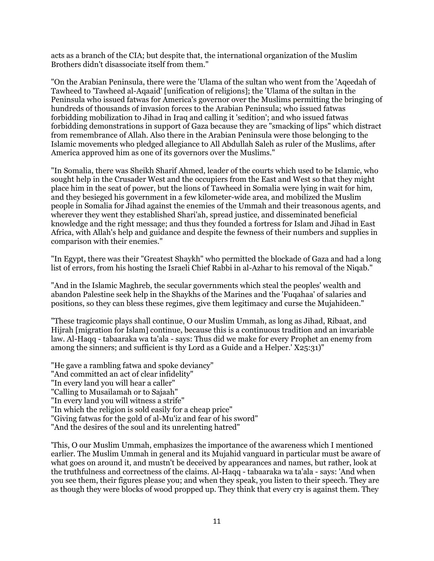acts as a branch of the CIA; but despite that, the international organization of the Muslim Brothers didn't disassociate itself from them."

"On the Arabian Peninsula, there were the 'Ulama of the sultan who went from the 'Aqeedah of Tawheed to 'Tawheed al-Aqaaid' [unification of religions]; the 'Ulama of the sultan in the Peninsula who issued fatwas for America's governor over the Muslims permitting the bringing of hundreds of thousands of invasion forces to the Arabian Peninsula; who issued fatwas forbidding mobilization to Jihad in Iraq and calling it 'sedition'; and who issued fatwas forbidding demonstrations in support of Gaza because they are "smacking of lips" which distract from remembrance of Allah. Also there in the Arabian Peninsula were those belonging to the Islamic movements who pledged allegiance to All Abdullah Saleh as ruler of the Muslims, after America approved him as one of its governors over the Muslims."

"In Somalia, there was Sheikh Sharif Ahmed, leader of the courts which used to be Islamic, who sought help in the Crusader West and the occupiers from the East and West so that they might place him in the seat of power, but the lions of Tawheed in Somalia were lying in wait for him, and they besieged his government in a few kilometer-wide area, and mobilized the Muslim people in Somalia for Jihad against the enemies of the Ummah and their treasonous agents, and wherever they went they established Shari'ah, spread justice, and disseminated beneficial knowledge and the right message; and thus they founded a fortress for Islam and Jihad in East Africa, with Allah's help and guidance and despite the fewness of their numbers and supplies in comparison with their enemies."

"In Egypt, there was their "Greatest Shaykh" who permitted the blockade of Gaza and had a long list of errors, from his hosting the Israeli Chief Rabbi in al-Azhar to his removal of the Niqab."

"And in the Islamic Maghreb, the secular governments which steal the peoples' wealth and abandon Palestine seek help in the Shaykhs of the Marines and the 'Fuqahaa' of salaries and positions, so they can bless these regimes, give them legitimacy and curse the Mujahideen."

"These tragicomic plays shall continue, O our Muslim Ummah, as long as Jihad, Ribaat, and Hijrah [migration for Islam] continue, because this is a continuous tradition and an invariable law. Al-Haqq - tabaaraka wa ta'ala - says: Thus did we make for every Prophet an enemy from among the sinners; and sufficient is thy Lord as a Guide and a Helper.'  $X25:31$ "

"He gave a rambling fatwa and spoke deviancy" "And committed an act of clear infidelity" "In every land you will hear a caller" "Calling to Musailamah or to Sajaah" "In every land you will witness a strife" "In which the religion is sold easily for a cheap price" "Giving fatwas for the gold of al-Mu'iz and fear of his sword" "And the desires of the soul and its unrelenting hatred"

'This, O our Muslim Ummah, emphasizes the importance of the awareness which I mentioned earlier. The Muslim Ummah in general and its Mujahid vanguard in particular must be aware of what goes on around it, and mustn't be deceived by appearances and names, but rather, look at the truthfulness and correctness of the claims. Al-Haqq - tabaaraka wa ta'ala - says: 'And when you see them, their figures please you; and when they speak, you listen to their speech. They are as though they were blocks of wood propped up. They think that every cry is against them. They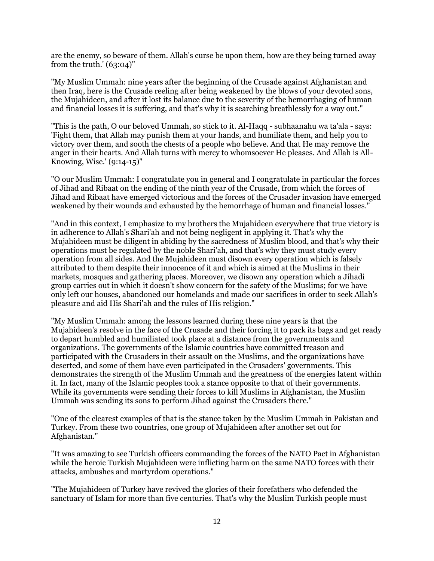are the enemy, so beware of them. Allah's curse be upon them, how are they being turned away from the truth.'  $(63:04)$ "

"My Muslim Ummah: nine years after the beginning of the Crusade against Afghanistan and then Iraq, here is the Crusade reeling after being weakened by the blows of your devoted sons, the Mujahideen, and after it lost its balance due to the severity of the hemorrhaging of human and financial losses it is suffering, and that's why it is searching breathlessly for a way out."

"This is the path, O our beloved Ummah, so stick to it. Al-Haqq - subhaanahu wa ta'ala - says: 'Fight them, that Allah may punish them at your hands, and humiliate them, and help you to victory over them, and sooth the chests of a people who believe. And that He may remove the anger in their hearts. And Allah turns with mercy to whomsoever He pleases. And Allah is All-Knowing, Wise.' (9:14-15)"

"O our Muslim Ummah: I congratulate you in general and I congratulate in particular the forces of Jihad and Ribaat on the ending of the ninth year of the Crusade, from which the forces of Jihad and Ribaat have emerged victorious and the forces of the Crusader invasion have emerged weakened by their wounds and exhausted by the hemorrhage of human and financial losses."

"And in this context, I emphasize to my brothers the Mujahideen everywhere that true victory is in adherence to Allah's Shari'ah and not being negligent in applying it. That's why the Mujahideen must be diligent in abiding by the sacredness of Muslim blood, and that's why their operations must be regulated by the noble Shari'ah, and that's why they must study every operation from all sides. And the Mujahideen must disown every operation which is falsely attributed to them despite their innocence of it and which is aimed at the Muslims in their markets, mosques and gathering places. Moreover, we disown any operation which a Jihadi group carries out in which it doesn't show concern for the safety of the Muslims; for we have only left our houses, abandoned our homelands and made our sacrifices in order to seek Allah's pleasure and aid His Shari'ah and the rules of His religion."

"My Muslim Ummah: among the lessons learned during these nine years is that the Mujahideen's resolve in the face of the Crusade and their forcing it to pack its bags and get ready to depart humbled and humiliated took place at a distance from the governments and organizations. The governments of the Islamic countries have committed treason and participated with the Crusaders in their assault on the Muslims, and the organizations have deserted, and some of them have even participated in the Crusaders' governments. This demonstrates the strength of the Muslim Ummah and the greatness of the energies latent within it. In fact, many of the Islamic peoples took a stance opposite to that of their governments. While its governments were sending their forces to kill Muslims in Afghanistan, the Muslim Ummah was sending its sons to perform Jihad against the Crusaders there."

"One of the clearest examples of that is the stance taken by the Muslim Ummah in Pakistan and Turkey. From these two countries, one group of Mujahideen after another set out for Afghanistan."

"It was amazing to see Turkish officers commanding the forces of the NATO Pact in Afghanistan while the heroic Turkish Mujahideen were inflicting harm on the same NATO forces with their attacks, ambushes and martyrdom operations."

"The Mujahideen of Turkey have revived the glories of their forefathers who defended the sanctuary of Islam for more than five centuries. That's why the Muslim Turkish people must